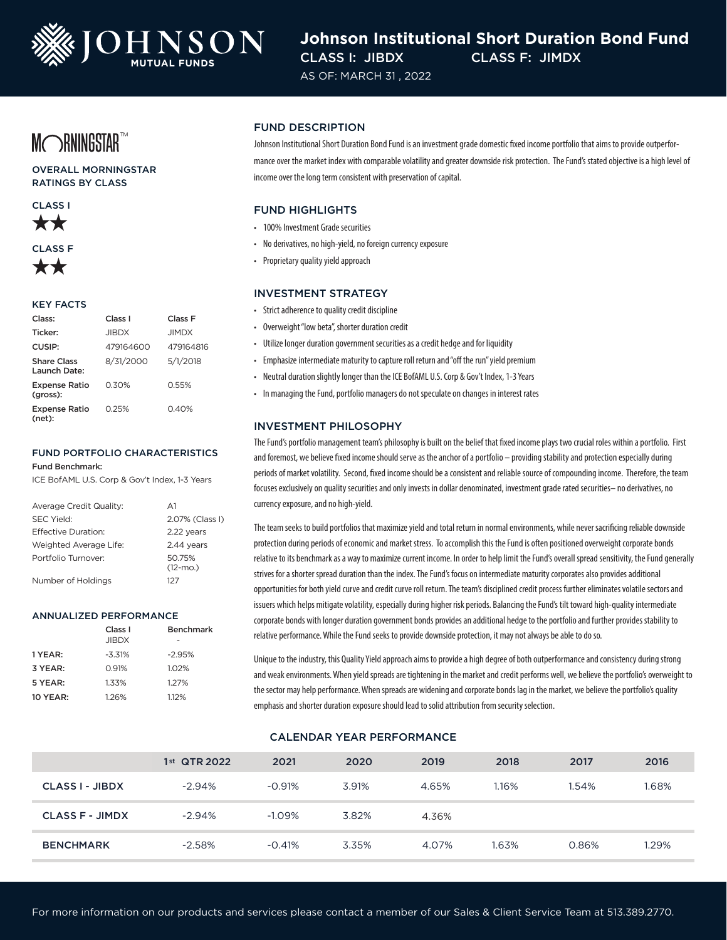

# **Johnson Institutional Short Duration Bond Fund** CLASS I: JIBDX CLASS F: JIMDX

AS OF: MARCH 31 , 2022

MORNINGSTAR<sup>T</sup>

OVERALL MORNINGSTAR RATINGS BY CLASS







#### KEY FACTS

| Class:                             | Class I      | Class F      |
|------------------------------------|--------------|--------------|
| Ticker:                            | <b>JIBDX</b> | <b>JIMDX</b> |
| CUSIP:                             | 479164600    | 479164816    |
| <b>Share Class</b><br>Launch Date: | 8/31/2000    | 5/1/2018     |
| <b>Expense Ratio</b><br>(gross):   | 0.30%        | 0.55%        |
| <b>Expense Ratio</b><br>(net):     | 0.25%        | 0.40%        |

## FUND PORTFOLIO CHARACTERISTICS

#### Fund Benchmark:

ICE BofAML U.S. Corp & Gov't Index, 1-3 Years

| Average Credit Quality: | $\Delta$ 1            |
|-------------------------|-----------------------|
| <b>SEC Yield:</b>       | 2.07% (Class I)       |
| Effective Duration:     | 2.22 years            |
| Weighted Average Life:  | 2.44 years            |
| Portfolio Turnover:     | 50.75%<br>$(12 - mO)$ |
| Number of Holdings      | 127                   |

#### ANNUALIZED PERFORMANCE

|                 | Class <sub>I</sub> | <b>Benchmark</b> |
|-----------------|--------------------|------------------|
|                 | <b>JIBDX</b>       |                  |
| 1 YEAR:         | $-3.31%$           | $-2.95%$         |
| 3 YEAR:         | 0.91%              | 1.02%            |
| 5 YEAR:         | 1.33%              | 1.27%            |
| <b>10 YEAR:</b> | 1.26%              | 1.12%            |

#### FUND DESCRIPTION

Johnson Institutional Short Duration Bond Fund is an investment grade domestic fixed income portfolio that aims to provide outperformance over the market index with comparable volatility and greater downside risk protection. The Fund's stated objective is a high level of income over the long term consistent with preservation of capital.

#### FUND HIGHLIGHTS

- 100% Investment Grade securities
- No derivatives, no high-yield, no foreign currency exposure
- Proprietary quality yield approach

#### INVESTMENT STRATEGY

- Strict adherence to quality credit discipline
- Overweight "low beta", shorter duration credit
- Utilize longer duration government securities as a credit hedge and for liquidity
- Emphasize intermediate maturity to capture roll return and "off the run" yield premium
- Neutral duration slightly longer than the ICE BofAML U.S. Corp & Gov't Index, 1-3 Years
- In managing the Fund, portfolio managers do not speculate on changes in interest rates

#### INVESTMENT PHILOSOPHY

The Fund's portfolio management team's philosophy is built on the belief that fixed income plays two crucial roles within a portfolio. First and foremost, we believe fixed income should serve as the anchor of a portfolio – providing stability and protection especially during periods of market volatility. Second, fixed income should be a consistent and reliable source of compounding income. Therefore, the team focuses exclusively on quality securities and only invests in dollar denominated, investment grade rated securities– no derivatives, no currency exposure, and no high-yield.

The team seeks to build portfolios that maximize yield and total return in normal environments, while never sacrificing reliable downside protection during periods of economic and market stress. To accomplish this the Fund is often positioned overweight corporate bonds relative to its benchmark as a way to maximize current income. In order to help limit the Fund's overall spread sensitivity, the Fund generally strives for a shorter spread duration than the index. The Fund's focus on intermediate maturity corporates also provides additional opportunities for both yield curve and credit curve roll return. The team's disciplined credit process further eliminates volatile sectors and issuers which helps mitigate volatility, especially during higher risk periods. Balancing the Fund's tilt toward high-quality intermediate corporate bonds with longer duration government bonds provides an additional hedge to the portfolio and further provides stability to relative performance. While the Fund seeks to provide downside protection, it may not always be able to do so.

Unique to the industry, this Quality Yield approach aims to provide a high degree of both outperformance and consistency during strong and weak environments. When yield spreads are tightening in the market and credit performs well, we believe the portfolio's overweight to the sector may help performance. When spreads are widening and corporate bonds lag in the market, we believe the portfolio's quality emphasis and shorter duration exposure should lead to solid attribution from security selection.

### CALENDAR YEAR PERFORMANCE

|                        | 1st QTR 2022 | 2021     | 2020  | 2019  | 2018  | 2017  | 2016  |
|------------------------|--------------|----------|-------|-------|-------|-------|-------|
| <b>CLASS I - JIBDX</b> | $-2.94%$     | $-0.91%$ | 3.91% | 4.65% | i.16% | 1.54% | 1.68% |
| <b>CLASS F - JIMDX</b> | $-2.94%$     | $-1.09%$ | 3.82% | 4.36% |       |       |       |
| <b>BENCHMARK</b>       | $-2.58%$     | $-0.41%$ | 3.35% | 4.07% | 1.63% | 0.86% | 1.29% |